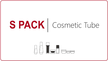# SPACK | Cosmetic Tube

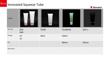**x** Standard

| Product    |                   |       | $\bigotimes$    | $\overline{1}$ |
|------------|-------------------|-------|-----------------|----------------|
| Item No.   | <b>D50</b><br>D40 | TE50F | <b>TE100P40</b> | D35-1          |
| Dosage     | ml<br>ml          | 50ml  | 100ml           |                |
| Dia        |                   |       | 40mm            | 35mm           |
| Decoration |                   |       |                 |                |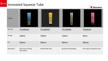**x** Standard

| Product    |                                             | karité           |                             |                            |
|------------|---------------------------------------------|------------------|-----------------------------|----------------------------|
| Item No.   | <b>TE200N50</b>                             | <b>TE100N50</b>  | <b>TE130N40</b>             | <b>TE40N30</b>             |
| Dosage     | 200ml                                       | 100ml            | 130ml                       | 40ml                       |
| Dia        | 50mm                                        | 50mm             | 40mm                        | 30mm                       |
| Decoration | <b>Silk Screen Printing</b><br>With Glitter | Double Wall Tube | <b>Brushed Hot Stamping</b> | Five-Layers Composite Tube |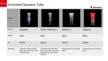**x** Standard

| Product    |                                                                                |                                                                                                           |                                    |                                    |
|------------|--------------------------------------------------------------------------------|-----------------------------------------------------------------------------------------------------------|------------------------------------|------------------------------------|
| Item No.   | <b>TE20N25</b>                                                                 | TE30C-LPA002B18-1                                                                                         | <b>TE60C35-1</b>                   | <b>TE60C35</b>                     |
| Dosage     | 20ml                                                                           | 30ml                                                                                                      | 60 <sub>ml</sub>                   | 60 <sub>ml</sub>                   |
| Dia        | 25mm                                                                           | 25mm                                                                                                      | 35mm                               | 35mm                               |
| Decoration | Laminated Tube with High-<br>Gloss Layer (silver tube with<br>offset printing) | Laminated Tube with High-<br>Gloss Layer (large color block<br>offset printing + Silk Screen<br>Printing) | Wrapped with hot stamping<br>paper | Wrapped with hot stamping<br>paper |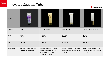**Standard**

| Product    |                                                              | <b>WENCE</b><br>$\mathcal{G}$                                                                               |                                                                      |                                                                     |
|------------|--------------------------------------------------------------|-------------------------------------------------------------------------------------------------------------|----------------------------------------------------------------------|---------------------------------------------------------------------|
| Item No.   | <b>TE30C25</b>                                               | TE120B40-2                                                                                                  | TE120B40-1                                                           | TE22C-LPA002B18-2                                                   |
| Dosage     | 30 <sub>ml</sub>                                             | 120ml                                                                                                       | 120ml                                                                | 22ml                                                                |
| Dia        | 25mm                                                         | 40 <sub>mm</sub>                                                                                            | 40 <sub>mm</sub>                                                     | 25mm                                                                |
| Decoration | Laminated Tube with High-<br><b>Gloss Layer with Coating</b> | Double-Layers PE Tube with<br>Pearl Pigments with silk<br>screen Printing & Hot<br><b>Stamping Printing</b> | Double-Layers PE Tube with<br>Pearl Pigments With Frosted<br>Coating | White Laminated Tube with<br>Pearl Pigments with Frosted<br>Coating |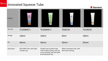**Standard**

| Product    | 00-三%<br>ENZYME<br>highway fund them            | H<br><b>TALA DESKELL</b>                                                                                                | $\begin{array}{c} 0.0148 \\ 0.014488 \\ 0.0004844 \end{array}$<br><b>R.CFI</b> |                 |
|------------|-------------------------------------------------|-------------------------------------------------------------------------------------------------------------------------|--------------------------------------------------------------------------------|-----------------|
| Item No.   | TE100B40-1                                      | TE100B40-2                                                                                                              | <b>TE60C30</b>                                                                 | <b>TE100S35</b> |
| Dosage     | 100ml                                           | 100ml                                                                                                                   | 60 <sub>ml</sub>                                                               | 100ml           |
| Dia        | 40mm                                            | 40mm                                                                                                                    | 30mm                                                                           | 35mm            |
| Decoration | POLYLAMI Tube with Label<br><b>Transfer Cap</b> | Double-Layer Colored Tube<br>with Frosted Coating with silk<br>screen printing, with anti-theft<br>& anti-bacterial cap | White Laminated Tube with<br><b>Silk Screen Printing</b>                       |                 |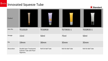

| Product    |                                                                  |                   |                   | $\frac{1}{\cos(10.96)}$ |
|------------|------------------------------------------------------------------|-------------------|-------------------|-------------------------|
| Item No.   | <b>TE15S19</b>                                                   | <b>TE50R30</b>    | TE75R35-1         | TE50R35-1               |
| Dosage     | 15ml                                                             | 50ml              | 75ml              | <b>50ml</b>             |
| Dia        | 19mm                                                             | 30mm              | 35mm              | 35mm                    |
| Decoration | Double-layer Translucent<br>Colored Tube with Pearl<br>Pigments. | Roll-On Ball Tube | Roll-On Ball Tube | Roll-On Ball Tube       |